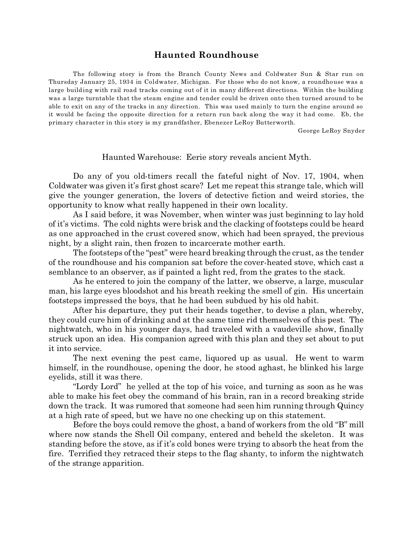## **Haunted Roundhouse**

The following story is from the Branch County News and Coldwater Sun & Star run on Thursday January 25, 1934 in Coldwater, Michigan. For those who do not know, a roundhouse was a large building with rail road tracks coming out of it in many different directions. Within the building was a large turntable that the steam engine and tender could be driven onto then turned around to be able to exit on any of the tracks in any direction. This was used mainly to turn the engine around so it would be facing the opposite direction for a return run back along the way it had come. Eb, the primary character in this story is my grandfather, Ebenezer LeRoy Butterworth.

George LeRoy Snyder

Haunted Warehouse: Eerie story reveals ancient Myth.

Do any of you old-timers recall the fateful night of Nov. 17, 1904, when Coldwater was given it's first ghost scare? Let me repeat this strange tale, which will give the younger generation, the lovers of detective fiction and weird stories, the opportunity to know what really happened in their own locality.

As I said before, it was November, when winter was just beginning to lay hold of it's victims. The cold nights were brisk and the clacking of footsteps could be heard as one approached in the crust covered snow, which had been sprayed, the previous night, by a slight rain, then frozen to incarcerate mother earth.

The footsteps of the "pest" were heard breaking through the crust, as the tender of the roundhouse and his companion sat before the cover-heated stove, which cast a semblance to an observer, as if painted a light red, from the grates to the stack.

As he entered to join the company of the latter, we observe, a large, muscular man, his large eyes bloodshot and his breath reeking the smell of gin. His uncertain footsteps impressed the boys, that he had been subdued by his old habit.

After his departure, they put their heads together, to devise a plan, whereby, they could cure him of drinking and at the same time rid themselves of this pest. The nightwatch, who in his younger days, had traveled with a vaudeville show, finally struck upon an idea. His companion agreed with this plan and they set about to put it into service.

The next evening the pest came, liquored up as usual. He went to warm himself, in the roundhouse, opening the door, he stood aghast, he blinked his large eyelids, still it was there.

"Lordy Lord" he yelled at the top of his voice, and turning as soon as he was able to make his feet obey the command of his brain, ran in a record breaking stride down the track. It was rumored that someone had seen him running through Quincy at a high rate of speed, but we have no one checking up on this statement.

Before the boys could remove the ghost, a band of workers from the old "B" mill where now stands the Shell Oil company, entered and beheld the skeleton. It was standing before the stove, as if it's cold bones were trying to absorb the heat from the fire. Terrified they retraced their steps to the flag shanty, to inform the nightwatch of the strange apparition.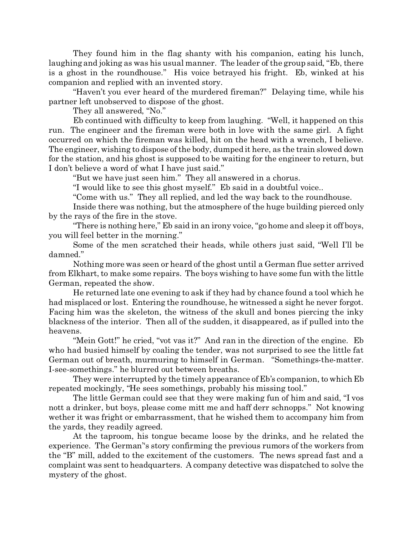They found him in the flag shanty with his companion, eating his lunch, laughing and joking as was his usual manner. The leader of the group said, "Eb, there is a ghost in the roundhouse." His voice betrayed his fright. Eb, winked at his companion and replied with an invented story.

"Haven't you ever heard of the murdered fireman?" Delaying time, while his partner left unobserved to dispose of the ghost.

They all answered, "No."

Eb continued with difficulty to keep from laughing. "Well, it happened on this run. The engineer and the fireman were both in love with the same girl. A fight occurred on which the fireman was killed, hit on the head with a wrench, I believe. The engineer, wishing to dispose of the body, dumped it here, as the train slowed down for the station, and his ghost is supposed to be waiting for the engineer to return, but I don't believe a word of what I have just said."

"But we have just seen him." They all answered in a chorus.

"I would like to see this ghost myself." Eb said in a doubtful voice..

"Come with us." They all replied, and led the way back to the roundhouse.

Inside there was nothing, but the atmosphere of the huge building pierced only by the rays of the fire in the stove.

"There is nothing here," Eb said in an irony voice, "go home and sleep it off boys, you will feel better in the morning."

Some of the men scratched their heads, while others just said, "Well I'll be damned."

Nothing more was seen or heard of the ghost until a German flue setter arrived from Elkhart, to make some repairs. The boys wishing to have some fun with the little German, repeated the show.

He returned late one evening to ask if they had by chance found a tool which he had misplaced or lost. Entering the roundhouse, he witnessed a sight he never forgot. Facing him was the skeleton, the witness of the skull and bones piercing the inky blackness of the interior. Then all of the sudden, it disappeared, as if pulled into the heavens.

"Mein Gott!" he cried, "vot vas it?" And ran in the direction of the engine. Eb who had busied himself by coaling the tender, was not surprised to see the little fat German out of breath, murmuring to himself in German. "Somethings-the-matter. I-see-somethings." he blurred out between breaths.

They were interrupted by the timely appearance of Eb's companion, to which Eb repeated mockingly, "He sees somethings, probably his missing tool."

The little German could see that they were making fun of him and said, "I vos nott a drinker, but boys, please come mitt me and haff derr schnopps." Not knowing wether it was fright or embarrassment, that he wished them to accompany him from the yards, they readily agreed.

At the taproom, his tongue became loose by the drinks, and he related the experience. The German''s story confirming the previous rumors of the workers from the "B" mill, added to the excitement of the customers. The news spread fast and a complaint was sent to headquarters. A company detective was dispatched to solve the mystery of the ghost.